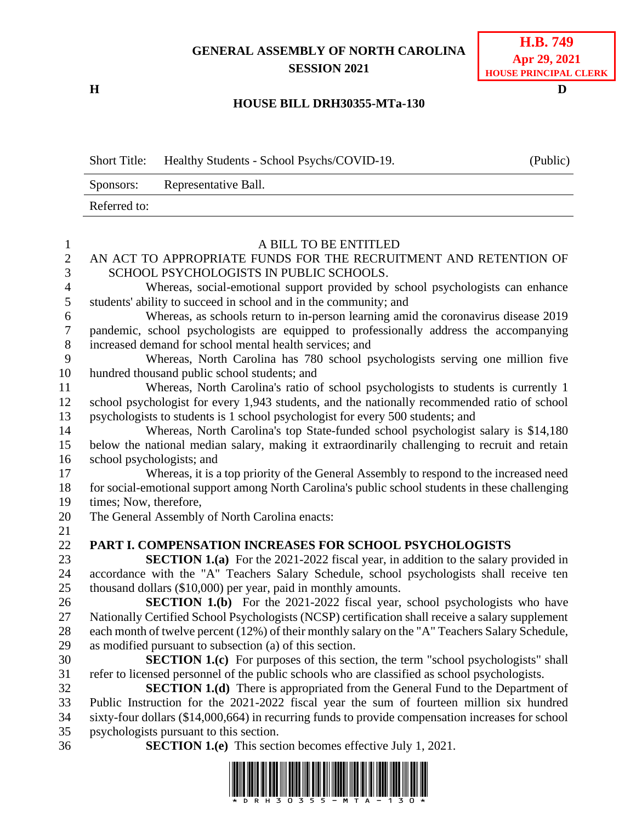## **GENERAL ASSEMBLY OF NORTH CAROLINA SESSION 2021**

**H D**

## **H.B. 749 Apr 29, 2021 HOUSE PRINCIPAL CLERK**

## **HOUSE BILL DRH30355-MTa-130**

Short Title: Healthy Students - School Psychs/COVID-19. (Public) Sponsors: Representative Ball. Referred to: A BILL TO BE ENTITLED AN ACT TO APPROPRIATE FUNDS FOR THE RECRUITMENT AND RETENTION OF SCHOOL PSYCHOLOGISTS IN PUBLIC SCHOOLS. Whereas, social-emotional support provided by school psychologists can enhance students' ability to succeed in school and in the community; and Whereas, as schools return to in-person learning amid the coronavirus disease 2019 pandemic, school psychologists are equipped to professionally address the accompanying increased demand for school mental health services; and Whereas, North Carolina has 780 school psychologists serving one million five hundred thousand public school students; and Whereas, North Carolina's ratio of school psychologists to students is currently 1 school psychologist for every 1,943 students, and the nationally recommended ratio of school psychologists to students is 1 school psychologist for every 500 students; and Whereas, North Carolina's top State-funded school psychologist salary is \$14,180 below the national median salary, making it extraordinarily challenging to recruit and retain school psychologists; and Whereas, it is a top priority of the General Assembly to respond to the increased need for social-emotional support among North Carolina's public school students in these challenging times; Now, therefore, The General Assembly of North Carolina enacts: **PART I. COMPENSATION INCREASES FOR SCHOOL PSYCHOLOGISTS SECTION 1.(a)** For the 2021-2022 fiscal year, in addition to the salary provided in accordance with the "A" Teachers Salary Schedule, school psychologists shall receive ten thousand dollars (\$10,000) per year, paid in monthly amounts. **SECTION 1.(b)** For the 2021-2022 fiscal year, school psychologists who have Nationally Certified School Psychologists (NCSP) certification shall receive a salary supplement each month of twelve percent (12%) of their monthly salary on the "A" Teachers Salary Schedule, as modified pursuant to subsection (a) of this section. **SECTION 1.(c)** For purposes of this section, the term "school psychologists" shall refer to licensed personnel of the public schools who are classified as school psychologists. **SECTION 1.(d)** There is appropriated from the General Fund to the Department of Public Instruction for the 2021-2022 fiscal year the sum of fourteen million six hundred sixty-four dollars (\$14,000,664) in recurring funds to provide compensation increases for school psychologists pursuant to this section. **SECTION 1.(e)** This section becomes effective July 1, 2021.

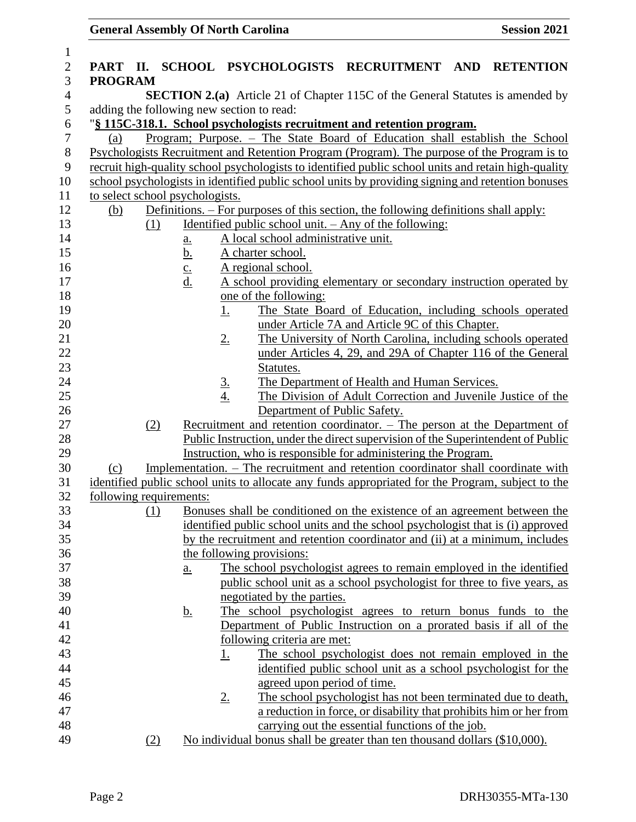| $\mathbf{1}$             |                                                                                                   |     |                                 |                                                                                                     |                                                                    |  |  |
|--------------------------|---------------------------------------------------------------------------------------------------|-----|---------------------------------|-----------------------------------------------------------------------------------------------------|--------------------------------------------------------------------|--|--|
| $\overline{2}$           |                                                                                                   |     |                                 | PART II. SCHOOL PSYCHOLOGISTS RECRUITMENT AND RETENTION                                             |                                                                    |  |  |
| $\mathfrak{Z}$           | <b>PROGRAM</b>                                                                                    |     |                                 |                                                                                                     |                                                                    |  |  |
| $\overline{\mathcal{A}}$ |                                                                                                   |     |                                 | <b>SECTION 2.(a)</b> Article 21 of Chapter 115C of the General Statutes is amended by               |                                                                    |  |  |
| 5                        |                                                                                                   |     |                                 | adding the following new section to read:                                                           |                                                                    |  |  |
| 6                        |                                                                                                   |     |                                 | "§ 115C-318.1. School psychologists recruitment and retention program.                              |                                                                    |  |  |
| $\boldsymbol{7}$         | (a)                                                                                               |     |                                 | Program; Purpose. – The State Board of Education shall establish the School                         |                                                                    |  |  |
| $8\,$                    |                                                                                                   |     |                                 | Psychologists Recruitment and Retention Program (Program). The purpose of the Program is to         |                                                                    |  |  |
| 9                        |                                                                                                   |     |                                 | recruit high-quality school psychologists to identified public school units and retain high-quality |                                                                    |  |  |
| 10                       |                                                                                                   |     |                                 | school psychologists in identified public school units by providing signing and retention bonuses   |                                                                    |  |  |
| 11                       |                                                                                                   |     | to select school psychologists. |                                                                                                     |                                                                    |  |  |
| 12                       | (b)                                                                                               |     |                                 | <u>Definitions. – For purposes of this section, the following definitions shall apply:</u>          |                                                                    |  |  |
| 13                       |                                                                                                   | (1) |                                 | <u>Identified public school unit. – Any of the following:</u>                                       |                                                                    |  |  |
| 14                       |                                                                                                   |     | $\underline{\mathbf{a}}$ .      | A local school administrative unit.                                                                 |                                                                    |  |  |
| 15                       |                                                                                                   |     | <u>b.</u>                       | A charter school.                                                                                   |                                                                    |  |  |
| 16                       |                                                                                                   |     | $\underline{\mathbf{C}}$ .      | A regional school.                                                                                  |                                                                    |  |  |
| 17                       |                                                                                                   |     | $\underline{d}$ .               | A school providing elementary or secondary instruction operated by                                  |                                                                    |  |  |
| 18                       |                                                                                                   |     |                                 | one of the following:                                                                               |                                                                    |  |  |
| 19                       |                                                                                                   |     |                                 | <u>1.</u>                                                                                           | The State Board of Education, including schools operated           |  |  |
| 20                       |                                                                                                   |     |                                 |                                                                                                     | under Article 7A and Article 9C of this Chapter.                   |  |  |
| 21                       |                                                                                                   |     |                                 | $2_{\cdot}$                                                                                         | The University of North Carolina, including schools operated       |  |  |
| 22                       |                                                                                                   |     |                                 |                                                                                                     | under Articles 4, 29, and 29A of Chapter 116 of the General        |  |  |
| 23                       |                                                                                                   |     |                                 | Statutes.                                                                                           |                                                                    |  |  |
| 24                       |                                                                                                   |     |                                 | $rac{3}{4}$ .                                                                                       | The Department of Health and Human Services.                       |  |  |
| 25                       |                                                                                                   |     |                                 |                                                                                                     | The Division of Adult Correction and Juvenile Justice of the       |  |  |
| 26                       |                                                                                                   |     |                                 | Department of Public Safety.                                                                        |                                                                    |  |  |
| 27                       |                                                                                                   | (2) |                                 | <u>Recruitment</u> and retention coordinator. – The person at the Department of                     |                                                                    |  |  |
| 28                       |                                                                                                   |     |                                 | Public Instruction, under the direct supervision of the Superintendent of Public                    |                                                                    |  |  |
| 29                       |                                                                                                   |     |                                 | Instruction, who is responsible for administering the Program.                                      |                                                                    |  |  |
| 30                       | (c)                                                                                               |     |                                 | Implementation. – The recruitment and retention coordinator shall coordinate with                   |                                                                    |  |  |
| 31                       | identified public school units to allocate any funds appropriated for the Program, subject to the |     |                                 |                                                                                                     |                                                                    |  |  |
| 32                       |                                                                                                   |     | following requirements:         |                                                                                                     |                                                                    |  |  |
| 33                       |                                                                                                   |     |                                 | (1) Bonuses shall be conditioned on the existence of an agreement between the                       |                                                                    |  |  |
| 34                       |                                                                                                   |     |                                 | identified public school units and the school psychologist that is (i) approved                     |                                                                    |  |  |
| 35                       |                                                                                                   |     |                                 | by the recruitment and retention coordinator and (ii) at a minimum, includes                        |                                                                    |  |  |
| 36                       |                                                                                                   |     |                                 | the following provisions:                                                                           |                                                                    |  |  |
| 37                       |                                                                                                   |     | $\underline{a}$ .               | The school psychologist agrees to remain employed in the identified                                 |                                                                    |  |  |
| 38                       |                                                                                                   |     |                                 | public school unit as a school psychologist for three to five years, as                             |                                                                    |  |  |
| 39                       |                                                                                                   |     |                                 | negotiated by the parties.                                                                          |                                                                    |  |  |
| 40                       |                                                                                                   |     | <u>b.</u>                       | The school psychologist agrees to return bonus funds to the                                         |                                                                    |  |  |
| 41                       |                                                                                                   |     |                                 | Department of Public Instruction on a prorated basis if all of the                                  |                                                                    |  |  |
| 42                       |                                                                                                   |     |                                 | following criteria are met:                                                                         |                                                                    |  |  |
| 43                       |                                                                                                   |     |                                 | <u>1.</u>                                                                                           | The school psychologist does not remain employed in the            |  |  |
| 44                       |                                                                                                   |     |                                 |                                                                                                     | identified public school unit as a school psychologist for the     |  |  |
| 45                       |                                                                                                   |     |                                 | agreed upon period of time.                                                                         |                                                                    |  |  |
| 46                       |                                                                                                   |     |                                 | 2.                                                                                                  | The school psychologist has not been terminated due to death,      |  |  |
| 47                       |                                                                                                   |     |                                 |                                                                                                     | a reduction in force, or disability that prohibits him or her from |  |  |
| 48                       |                                                                                                   |     |                                 |                                                                                                     | carrying out the essential functions of the job.                   |  |  |
| 49                       |                                                                                                   | (2) |                                 | No individual bonus shall be greater than ten thousand dollars (\$10,000).                          |                                                                    |  |  |